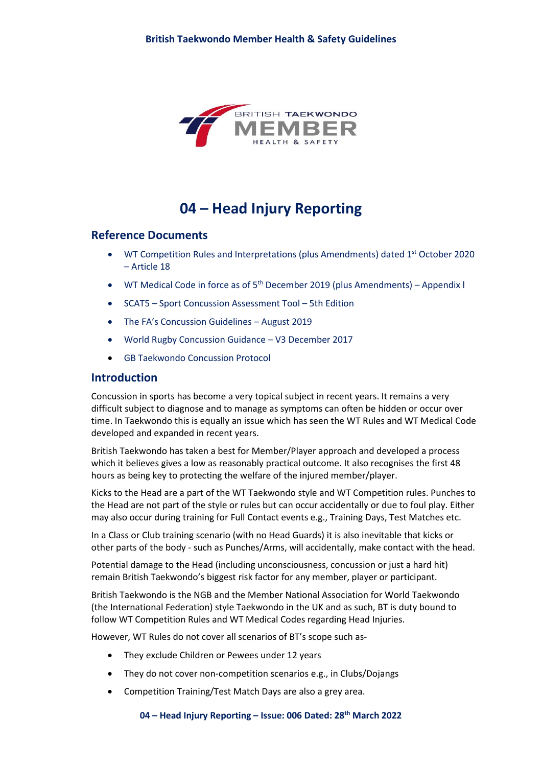

# **04 – Head Injury Reporting**

### **Reference Documents**

- WT Competition Rules and Interpretations (plus Amendments) dated  $1<sup>st</sup>$  October 2020 – Article 18
- WT Medical Code in force as of  $5<sup>th</sup>$  December 2019 (plus Amendments) Appendix l
- SCAT5 Sport Concussion Assessment Tool 5th Edition
- The FA's Concussion Guidelines August 2019
- World Rugby Concussion Guidance V3 December 2017
- GB Taekwondo Concussion Protocol

### **Introduction**

Concussion in sports has become a very topical subject in recent years. It remains a very difficult subject to diagnose and to manage as symptoms can often be hidden or occur over time. In Taekwondo this is equally an issue which has seen the WT Rules and WT Medical Code developed and expanded in recent years.

British Taekwondo has taken a best for Member/Player approach and developed a process which it believes gives a low as reasonably practical outcome. It also recognises the first 48 hours as being key to protecting the welfare of the injured member/player.

Kicks to the Head are a part of the WT Taekwondo style and WT Competition rules. Punches to the Head are not part of the style or rules but can occur accidentally or due to foul play. Either may also occur during training for Full Contact events e.g., Training Days, Test Matches etc.

In a Class or Club training scenario (with no Head Guards) it is also inevitable that kicks or other parts of the body - such as Punches/Arms, will accidentally, make contact with the head.

Potential damage to the Head (including unconsciousness, concussion or just a hard hit) remain British Taekwondo's biggest risk factor for any member, player or participant.

British Taekwondo is the NGB and the Member National Association for World Taekwondo (the International Federation) style Taekwondo in the UK and as such, BT is duty bound to follow WT Competition Rules and WT Medical Codes regarding Head Injuries.

However, WT Rules do not cover all scenarios of BT's scope such as-

- They exclude Children or Pewees under 12 years
- They do not cover non-competition scenarios e.g., in Clubs/Dojangs
- Competition Training/Test Match Days are also a grey area.

**04 – Head Injury Reporting – Issue: 006 Dated: 28th March 2022**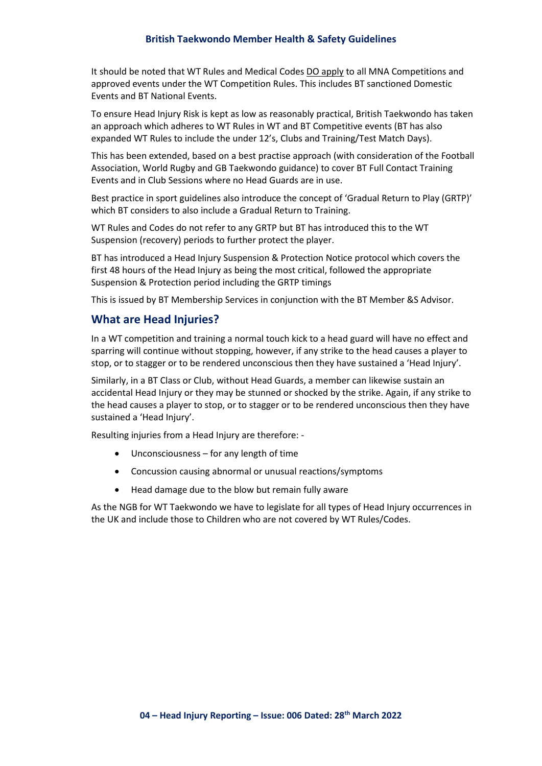#### **British Taekwondo Member Health & Safety Guidelines**

It should be noted that WT Rules and Medical Codes DO apply to all MNA Competitions and approved events under the WT Competition Rules. This includes BT sanctioned Domestic Events and BT National Events.

To ensure Head Injury Risk is kept as low as reasonably practical, British Taekwondo has taken an approach which adheres to WT Rules in WT and BT Competitive events (BT has also expanded WT Rules to include the under 12's, Clubs and Training/Test Match Days).

This has been extended, based on a best practise approach (with consideration of the Football Association, World Rugby and GB Taekwondo guidance) to cover BT Full Contact Training Events and in Club Sessions where no Head Guards are in use.

Best practice in sport guidelines also introduce the concept of 'Gradual Return to Play (GRTP)' which BT considers to also include a Gradual Return to Training.

WT Rules and Codes do not refer to any GRTP but BT has introduced this to the WT Suspension (recovery) periods to further protect the player.

BT has introduced a Head Injury Suspension & Protection Notice protocol which covers the first 48 hours of the Head Injury as being the most critical, followed the appropriate Suspension & Protection period including the GRTP timings

This is issued by BT Membership Services in conjunction with the BT Member &S Advisor.

### **What are Head Injuries?**

In a WT competition and training a normal touch kick to a head guard will have no effect and sparring will continue without stopping, however, if any strike to the head causes a player to stop, or to stagger or to be rendered unconscious then they have sustained a 'Head Injury'.

Similarly, in a BT Class or Club, without Head Guards, a member can likewise sustain an accidental Head Injury or they may be stunned or shocked by the strike. Again, if any strike to the head causes a player to stop, or to stagger or to be rendered unconscious then they have sustained a 'Head Injury'.

Resulting injuries from a Head Injury are therefore: -

- Unconsciousness for any length of time
- Concussion causing abnormal or unusual reactions/symptoms
- Head damage due to the blow but remain fully aware

As the NGB for WT Taekwondo we have to legislate for all types of Head Injury occurrences in the UK and include those to Children who are not covered by WT Rules/Codes.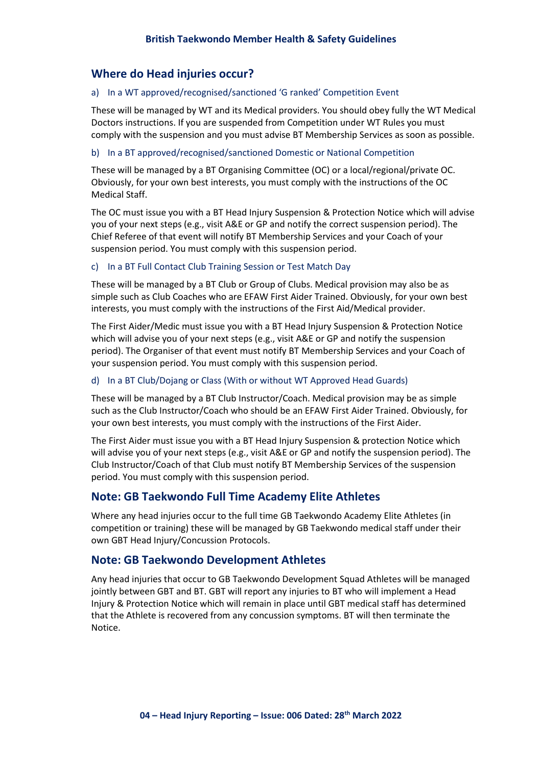## **Where do Head injuries occur?**

### a) In a WT approved/recognised/sanctioned 'G ranked' Competition Event

These will be managed by WT and its Medical providers. You should obey fully the WT Medical Doctors instructions. If you are suspended from Competition under WT Rules you must comply with the suspension and you must advise BT Membership Services as soon as possible.

### b) In a BT approved/recognised/sanctioned Domestic or National Competition

These will be managed by a BT Organising Committee (OC) or a local/regional/private OC. Obviously, for your own best interests, you must comply with the instructions of the OC Medical Staff.

The OC must issue you with a BT Head Injury Suspension & Protection Notice which will advise you of your next steps (e.g., visit A&E or GP and notify the correct suspension period). The Chief Referee of that event will notify BT Membership Services and your Coach of your suspension period. You must comply with this suspension period.

#### c) In a BT Full Contact Club Training Session or Test Match Day

These will be managed by a BT Club or Group of Clubs. Medical provision may also be as simple such as Club Coaches who are EFAW First Aider Trained. Obviously, for your own best interests, you must comply with the instructions of the First Aid/Medical provider.

The First Aider/Medic must issue you with a BT Head Injury Suspension & Protection Notice which will advise you of your next steps (e.g., visit A&E or GP and notify the suspension period). The Organiser of that event must notify BT Membership Services and your Coach of your suspension period. You must comply with this suspension period.

#### d) In a BT Club/Dojang or Class (With or without WT Approved Head Guards)

These will be managed by a BT Club Instructor/Coach. Medical provision may be as simple such as the Club Instructor/Coach who should be an EFAW First Aider Trained. Obviously, for your own best interests, you must comply with the instructions of the First Aider.

The First Aider must issue you with a BT Head Injury Suspension & protection Notice which will advise you of your next steps (e.g., visit A&E or GP and notify the suspension period). The Club Instructor/Coach of that Club must notify BT Membership Services of the suspension period. You must comply with this suspension period.

### **Note: GB Taekwondo Full Time Academy Elite Athletes**

Where any head injuries occur to the full time GB Taekwondo Academy Elite Athletes (in competition or training) these will be managed by GB Taekwondo medical staff under their own GBT Head Injury/Concussion Protocols.

### **Note: GB Taekwondo Development Athletes**

Any head injuries that occur to GB Taekwondo Development Squad Athletes will be managed jointly between GBT and BT. GBT will report any injuries to BT who will implement a Head Injury & Protection Notice which will remain in place until GBT medical staff has determined that the Athlete is recovered from any concussion symptoms. BT will then terminate the Notice.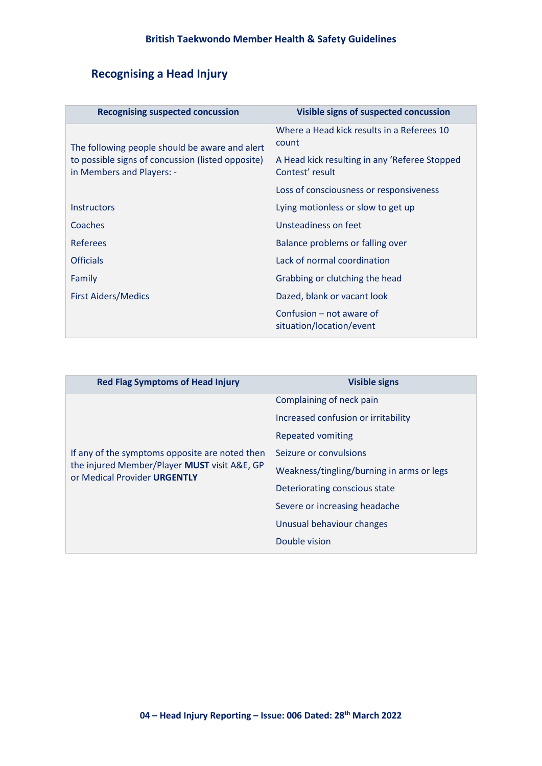## **Recognising a Head Injury**

| <b>Recognising suspected concussion</b>                                        | <b>Visible signs of suspected concussion</b>                     |  |
|--------------------------------------------------------------------------------|------------------------------------------------------------------|--|
|                                                                                | Where a Head kick results in a Referees 10<br>count              |  |
| The following people should be aware and alert                                 |                                                                  |  |
| to possible signs of concussion (listed opposite)<br>in Members and Players: - | A Head kick resulting in any 'Referee Stopped<br>Contest' result |  |
|                                                                                | Loss of consciousness or responsiveness                          |  |
| <b>Instructors</b>                                                             | Lying motionless or slow to get up                               |  |
| Coaches                                                                        | Unsteadiness on feet                                             |  |
| <b>Referees</b>                                                                | Balance problems or falling over                                 |  |
| <b>Officials</b>                                                               | Lack of normal coordination                                      |  |
| Family                                                                         | Grabbing or clutching the head                                   |  |
| <b>First Aiders/Medics</b>                                                     | Dazed, blank or vacant look                                      |  |
|                                                                                | Confusion – not aware of<br>situation/location/event             |  |

| <b>Red Flag Symptoms of Head Injury</b>                                                                                        | <b>Visible signs</b>                      |  |
|--------------------------------------------------------------------------------------------------------------------------------|-------------------------------------------|--|
| If any of the symptoms opposite are noted then<br>the injured Member/Player MUST visit A&E, GP<br>or Medical Provider URGENTLY | Complaining of neck pain                  |  |
|                                                                                                                                | Increased confusion or irritability       |  |
|                                                                                                                                | Repeated vomiting                         |  |
|                                                                                                                                | Seizure or convulsions                    |  |
|                                                                                                                                | Weakness/tingling/burning in arms or legs |  |
|                                                                                                                                | Deteriorating conscious state             |  |
|                                                                                                                                | Severe or increasing headache             |  |
|                                                                                                                                | Unusual behaviour changes                 |  |
|                                                                                                                                | Double vision                             |  |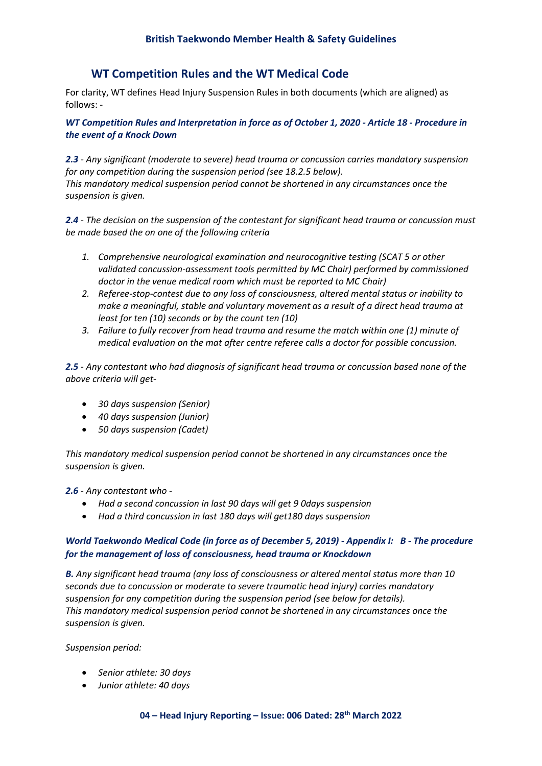## **WT Competition Rules and the WT Medical Code**

For clarity, WT defines Head Injury Suspension Rules in both documents (which are aligned) as follows: -

*WT Competition Rules and Interpretation in force as of October 1, 2020 - Article 18 - Procedure in the event of a Knock Down*

*2.3 - Any significant (moderate to severe) head trauma or concussion carries mandatory suspension for any competition during the suspension period (see 18.2.5 below). This mandatory medical suspension period cannot be shortened in any circumstances once the suspension is given.*

*2.4 - The decision on the suspension of the contestant for significant head trauma or concussion must be made based the on one of the following criteria*

- *1. Comprehensive neurological examination and neurocognitive testing (SCAT 5 or other validated concussion-assessment tools permitted by MC Chair) performed by commissioned doctor in the venue medical room which must be reported to MC Chair)*
- *2. Referee-stop-contest due to any loss of consciousness, altered mental status or inability to make a meaningful, stable and voluntary movement as a result of a direct head trauma at least for ten (10) seconds or by the count ten (10)*
- *3. Failure to fully recover from head trauma and resume the match within one (1) minute of medical evaluation on the mat after centre referee calls a doctor for possible concussion.*

*2.5 - Any contestant who had diagnosis of significant head trauma or concussion based none of the above criteria will get-* 

- *30 days suspension (Senior)*
- *40 days suspension (Junior)*
- *50 days suspension (Cadet)*

*This mandatory medical suspension period cannot be shortened in any circumstances once the suspension is given.*

*2.6 - Any contestant who -* 

- *Had a second concussion in last 90 days will get 9 0days suspension*
- *Had a third concussion in last 180 days will get180 days suspension*

### *World Taekwondo Medical Code (in force as of December 5, 2019) - Appendix I: B - The procedure for the management of loss of consciousness, head trauma or Knockdown*

*B. Any significant head trauma (any loss of consciousness or altered mental status more than 10 seconds due to concussion or moderate to severe traumatic head injury) carries mandatory suspension for any competition during the suspension period (see below for details). This mandatory medical suspension period cannot be shortened in any circumstances once the suspension is given.* 

*Suspension period:* 

- *Senior athlete: 30 days*
- *Junior athlete: 40 days*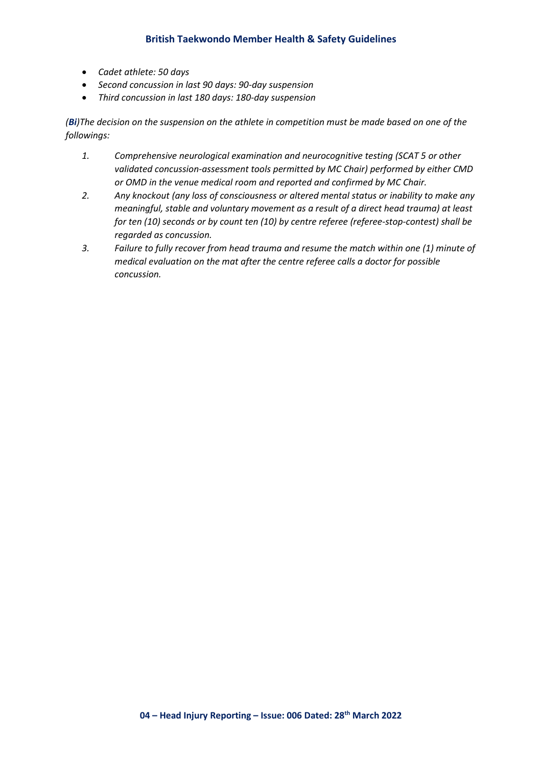### **British Taekwondo Member Health & Safety Guidelines**

- *Cadet athlete: 50 days*
- *Second concussion in last 90 days: 90-day suspension*
- *Third concussion in last 180 days: 180-day suspension*

*(Bi)The decision on the suspension on the athlete in competition must be made based on one of the followings:*

- *1. Comprehensive neurological examination and neurocognitive testing (SCAT 5 or other validated concussion-assessment tools permitted by MC Chair) performed by either CMD or OMD in the venue medical room and reported and confirmed by MC Chair.*
- *2. Any knockout (any loss of consciousness or altered mental status or inability to make any meaningful, stable and voluntary movement as a result of a direct head trauma) at least for ten (10) seconds or by count ten (10) by centre referee (referee-stop-contest) shall be regarded as concussion.*
- *3. Failure to fully recover from head trauma and resume the match within one (1) minute of medical evaluation on the mat after the centre referee calls a doctor for possible concussion.*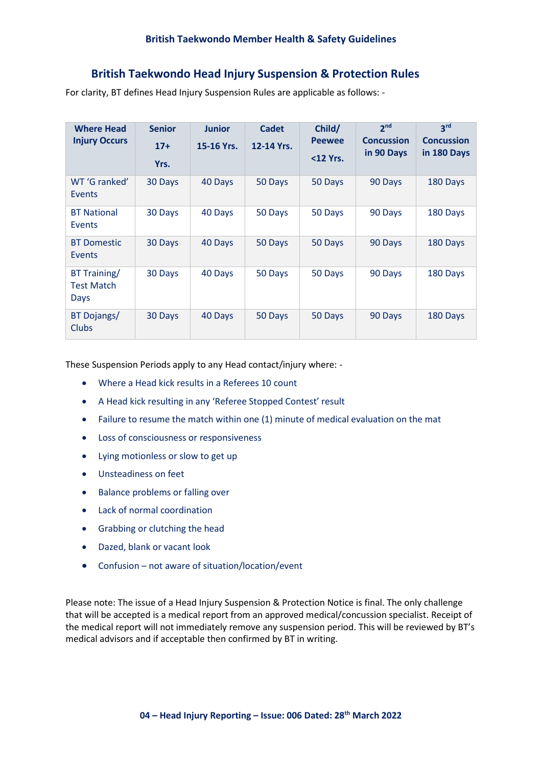## **British Taekwondo Head Injury Suspension & Protection Rules**

For clarity, BT defines Head Injury Suspension Rules are applicable as follows: -

| <b>Where Head</b><br><b>Injury Occurs</b> | <b>Senior</b><br>$17+$<br>Yrs. | <b>Junior</b><br>15-16 Yrs. | Cadet<br>12-14 Yrs. | Child/<br><b>Peewee</b><br>$12 Yrs.$ | 2 <sub>nd</sub><br><b>Concussion</b><br>in 90 Days | 3 <sup>rd</sup><br><b>Concussion</b><br>in 180 Days |
|-------------------------------------------|--------------------------------|-----------------------------|---------------------|--------------------------------------|----------------------------------------------------|-----------------------------------------------------|
| WT 'G ranked'<br>Events                   | 30 Days                        | 40 Days                     | 50 Days             | 50 Days                              | 90 Days                                            | 180 Days                                            |
| <b>BT National</b><br>Events              | 30 Days                        | 40 Days                     | 50 Days             | 50 Days                              | 90 Days                                            | 180 Days                                            |
| <b>BT Domestic</b><br>Events              | 30 Days                        | 40 Days                     | 50 Days             | 50 Days                              | 90 Days                                            | 180 Days                                            |
| BT Training/<br><b>Test Match</b><br>Days | 30 Days                        | 40 Days                     | 50 Days             | 50 Days                              | 90 Days                                            | 180 Days                                            |
| BT Dojangs/<br>Clubs                      | 30 Days                        | 40 Days                     | 50 Days             | 50 Days                              | 90 Days                                            | 180 Days                                            |

These Suspension Periods apply to any Head contact/injury where: -

- Where a Head kick results in a Referees 10 count
- A Head kick resulting in any 'Referee Stopped Contest' result
- Failure to resume the match within one (1) minute of medical evaluation on the mat
- Loss of consciousness or responsiveness
- Lying motionless or slow to get up
- Unsteadiness on feet
- Balance problems or falling over
- Lack of normal coordination
- Grabbing or clutching the head
- Dazed, blank or vacant look
- Confusion not aware of situation/location/event

Please note: The issue of a Head Injury Suspension & Protection Notice is final. The only challenge that will be accepted is a medical report from an approved medical/concussion specialist. Receipt of the medical report will not immediately remove any suspension period. This will be reviewed by BT's medical advisors and if acceptable then confirmed by BT in writing.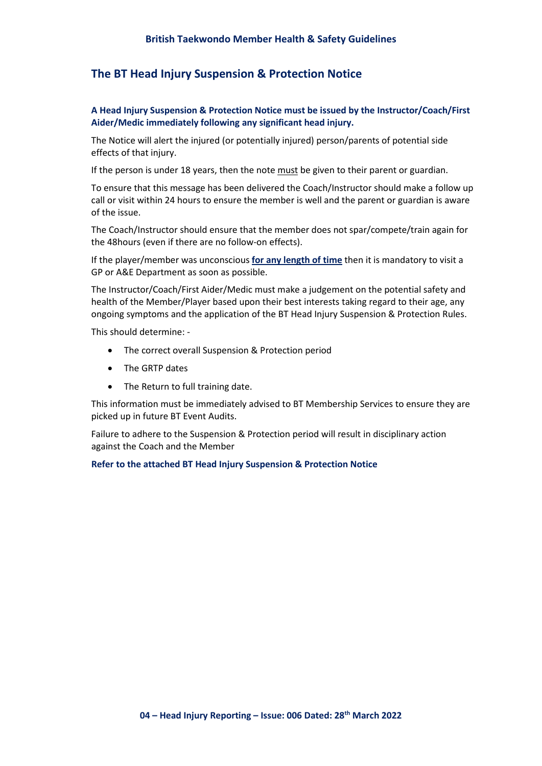## **The BT Head Injury Suspension & Protection Notice**

### **A Head Injury Suspension & Protection Notice must be issued by the Instructor/Coach/First Aider/Medic immediately following any significant head injury.**

The Notice will alert the injured (or potentially injured) person/parents of potential side effects of that injury.

If the person is under 18 years, then the note must be given to their parent or guardian.

To ensure that this message has been delivered the Coach/Instructor should make a follow up call or visit within 24 hours to ensure the member is well and the parent or guardian is aware of the issue.

The Coach/Instructor should ensure that the member does not spar/compete/train again for the 48hours (even if there are no follow-on effects).

If the player/member was unconscious **for any length of time** then it is mandatory to visit a GP or A&E Department as soon as possible.

The Instructor/Coach/First Aider/Medic must make a judgement on the potential safety and health of the Member/Player based upon their best interests taking regard to their age, any ongoing symptoms and the application of the BT Head Injury Suspension & Protection Rules.

This should determine: -

- The correct overall Suspension & Protection period
- The GRTP dates
- The Return to full training date.

This information must be immediately advised to BT Membership Services to ensure they are picked up in future BT Event Audits.

Failure to adhere to the Suspension & Protection period will result in disciplinary action against the Coach and the Member

#### **Refer to the attached BT Head Injury Suspension & Protection Notice**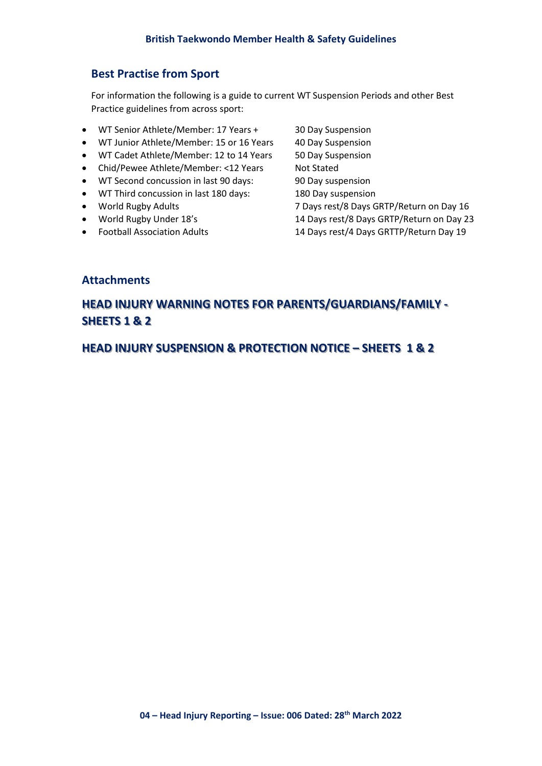## **Best Practise from Sport**

For information the following is a guide to current WT Suspension Periods and other Best Practice guidelines from across sport:

- WT Senior Athlete/Member: 17 Years + 30 Day Suspension
- WT Junior Athlete/Member: 15 or 16 Years 40 Day Suspension
- WT Cadet Athlete/Member: 12 to 14 Years 50 Day Suspension
- Chid/Pewee Athlete/Member: <12 Years Not Stated
- WT Second concussion in last 90 days: 90 Day suspension
- WT Third concussion in last 180 days: 180 Day suspension
- 
- 
- 
- World Rugby Adults 7 Days rest/8 Days GRTP/Return on Day 16 • World Rugby Under 18's 14 Days rest/8 Days GRTP/Return on Day 23 • Football Association Adults 14 Days rest/4 Days GRTTP/Return Day 19

### **Attachments**

# **HEAD INJURY WARNING NOTES FOR PARENTS/GUARDIANS/FAMILY - SHEETS 1 & 2**

**HEAD INJURY SUSPENSION & PROTECTION NOTICE – SHEETS 1 & 2**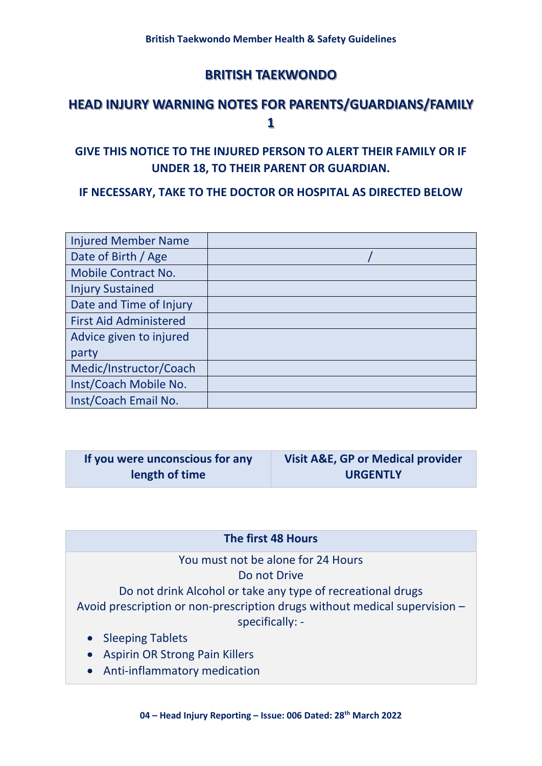# **HEAD INJURY WARNING NOTES FOR PARENTS/GUARDIANS/FAMILY 1**

## **GIVE THIS NOTICE TO THE INJURED PERSON TO ALERT THEIR FAMILY OR IF UNDER 18, TO THEIR PARENT OR GUARDIAN.**

## **IF NECESSARY, TAKE TO THE DOCTOR OR HOSPITAL AS DIRECTED BELOW**

| <b>Injured Member Name</b>    |  |
|-------------------------------|--|
| Date of Birth / Age           |  |
| <b>Mobile Contract No.</b>    |  |
| <b>Injury Sustained</b>       |  |
| Date and Time of Injury       |  |
| <b>First Aid Administered</b> |  |
| Advice given to injured       |  |
| party                         |  |
| Medic/Instructor/Coach        |  |
| Inst/Coach Mobile No.         |  |
| Inst/Coach Email No.          |  |

| If you were unconscious for any | <b>Visit A&amp;E, GP or Medical provider</b> |
|---------------------------------|----------------------------------------------|
| length of time                  | <b>URGENTLY</b>                              |

## **The first 48 Hours**

You must not be alone for 24 Hours Do not Drive Do not drink Alcohol or take any type of recreational drugs Avoid prescription or non-prescription drugs without medical supervision – specifically: -

- Sleeping Tablets
- Aspirin OR Strong Pain Killers
- Anti-inflammatory medication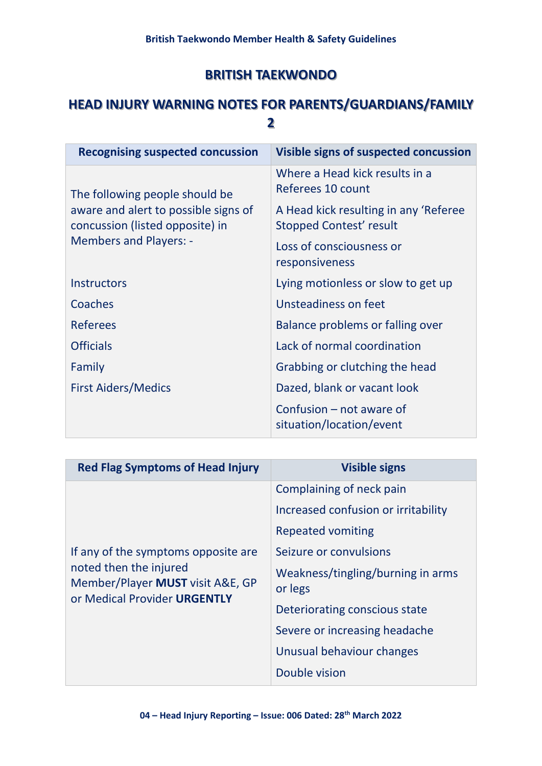# **HEAD INJURY WARNING NOTES FOR PARENTS/GUARDIANS/FAMILY 2**

| <b>Recognising suspected concussion</b>                                 | Visible signs of suspected concussion                                   |
|-------------------------------------------------------------------------|-------------------------------------------------------------------------|
|                                                                         | Where a Head kick results in a<br>Referees 10 count                     |
| The following people should be                                          |                                                                         |
| aware and alert to possible signs of<br>concussion (listed opposite) in | A Head kick resulting in any 'Referee<br><b>Stopped Contest' result</b> |
| <b>Members and Players: -</b>                                           | Loss of consciousness or<br>responsiveness                              |
| <b>Instructors</b>                                                      | Lying motionless or slow to get up                                      |
| Coaches                                                                 | Unsteadiness on feet                                                    |
| <b>Referees</b>                                                         | Balance problems or falling over                                        |
| <b>Officials</b>                                                        | Lack of normal coordination                                             |
| Family                                                                  | Grabbing or clutching the head                                          |
| <b>First Aiders/Medics</b>                                              | Dazed, blank or vacant look                                             |
|                                                                         | Confusion – not aware of<br>situation/location/event                    |

| <b>Red Flag Symptoms of Head Injury</b>                                                                                           | <b>Visible signs</b>                         |  |
|-----------------------------------------------------------------------------------------------------------------------------------|----------------------------------------------|--|
| If any of the symptoms opposite are<br>noted then the injured<br>Member/Player MUST visit A&E, GP<br>or Medical Provider URGENTLY | Complaining of neck pain                     |  |
|                                                                                                                                   | Increased confusion or irritability          |  |
|                                                                                                                                   | Repeated vomiting                            |  |
|                                                                                                                                   | Seizure or convulsions                       |  |
|                                                                                                                                   | Weakness/tingling/burning in arms<br>or legs |  |
|                                                                                                                                   | Deteriorating conscious state                |  |
|                                                                                                                                   | Severe or increasing headache                |  |
|                                                                                                                                   | Unusual behaviour changes                    |  |
|                                                                                                                                   | Double vision                                |  |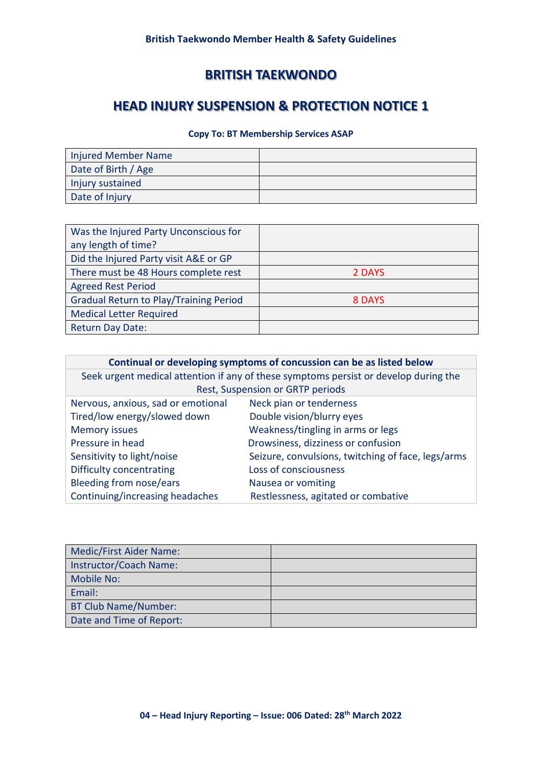# **HEAD INJURY SUSPENSION & PROTECTION NOTICE 1**

### **Copy To: BT Membership Services ASAP**

| <b>Injured Member Name</b> |  |
|----------------------------|--|
| Date of Birth / Age        |  |
| Injury sustained           |  |
| Date of Injury             |  |

| Was the Injured Party Unconscious for         |        |
|-----------------------------------------------|--------|
| any length of time?                           |        |
| Did the Injured Party visit A&E or GP         |        |
| There must be 48 Hours complete rest          | 2 DAYS |
| <b>Agreed Rest Period</b>                     |        |
| <b>Gradual Return to Play/Training Period</b> | 8 DAYS |
| <b>Medical Letter Required</b>                |        |
| <b>Return Day Date:</b>                       |        |

| Continual or developing symptoms of concussion can be as listed below                |                                   |  |  |
|--------------------------------------------------------------------------------------|-----------------------------------|--|--|
| Seek urgent medical attention if any of these symptoms persist or develop during the |                                   |  |  |
|                                                                                      | Rest, Suspension or GRTP periods  |  |  |
| Nervous, anxious, sad or emotional                                                   | Neck pian or tenderness           |  |  |
| Tired/low energy/slowed down                                                         | Double vision/blurry eyes         |  |  |
| <b>Memory issues</b>                                                                 | Weakness/tingling in arms or legs |  |  |
| Drowsiness, dizziness or confusion<br>Pressure in head                               |                                   |  |  |
| Seizure, convulsions, twitching of face, legs/arms<br>Sensitivity to light/noise     |                                   |  |  |
| Difficulty concentrating                                                             | Loss of consciousness             |  |  |
| <b>Bleeding from nose/ears</b>                                                       | Nausea or vomiting                |  |  |
| Continuing/increasing headaches<br>Restlessness, agitated or combative               |                                   |  |  |

| Medic/First Aider Name:  |  |
|--------------------------|--|
| Instructor/Coach Name:   |  |
| Mobile No:               |  |
| Email:                   |  |
| BT Club Name/Number:     |  |
| Date and Time of Report: |  |